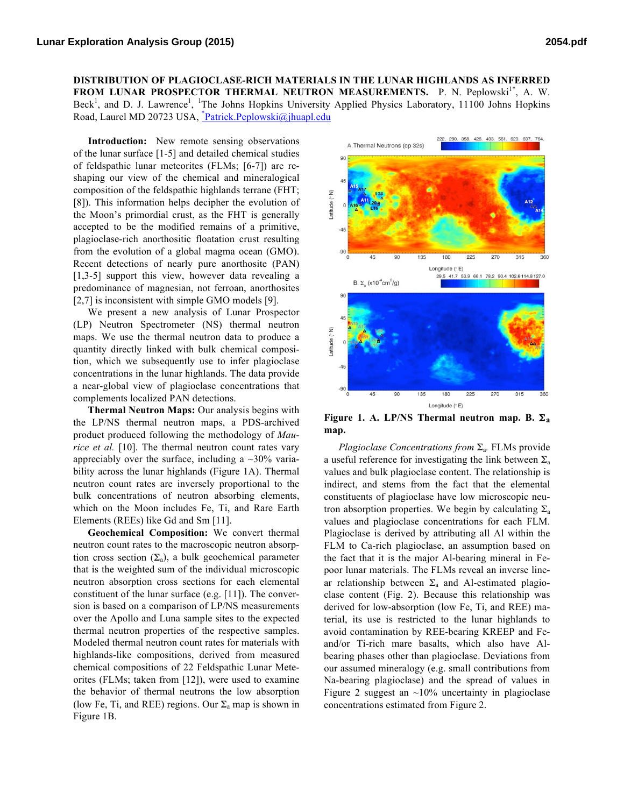**DISTRIBUTION OF PLAGIOCLASE-RICH MATERIALS IN THE LUNAR HIGHLANDS AS INFERRED FROM LUNAR PROSPECTOR THERMAL NEUTRON MEASUREMENTS.** P. N. Peplowski<sup>1\*</sup>, A. W. Beck<sup>1</sup>, and D. J. Lawrence<sup>1</sup>, <sup>1</sup>The Johns Hopkins University Applied Physics Laboratory, 11100 Johns Hopkins Road, Laurel MD 20723 USA, *Patrick.Peplowski@jhuapl.edu* 

**Introduction:** New remote sensing observations of the lunar surface [1-5] and detailed chemical studies of feldspathic lunar meteorites (FLMs; [6-7]) are reshaping our view of the chemical and mineralogical composition of the feldspathic highlands terrane (FHT; [8]). This information helps decipher the evolution of the Moon's primordial crust, as the FHT is generally accepted to be the modified remains of a primitive, plagioclase-rich anorthositic floatation crust resulting from the evolution of a global magma ocean (GMO). Recent detections of nearly pure anorthosite (PAN) [1,3-5] support this view, however data revealing a predominance of magnesian, not ferroan, anorthosites [2,7] is inconsistent with simple GMO models [9].

We present a new analysis of Lunar Prospector (LP) Neutron Spectrometer (NS) thermal neutron maps. We use the thermal neutron data to produce a quantity directly linked with bulk chemical composition, which we subsequently use to infer plagioclase concentrations in the lunar highlands. The data provide a near-global view of plagioclase concentrations that complements localized PAN detections.

**Thermal Neutron Maps:** Our analysis begins with the LP/NS thermal neutron maps, a PDS-archived product produced following the methodology of *Maurice et al.* [10]. The thermal neutron count rates vary appreciably over the surface, including a  $\sim$ 30% variability across the lunar highlands (Figure 1A). Thermal neutron count rates are inversely proportional to the bulk concentrations of neutron absorbing elements, which on the Moon includes Fe, Ti, and Rare Earth Elements (REEs) like Gd and Sm [11].

**Geochemical Composition:** We convert thermal neutron count rates to the macroscopic neutron absorption cross section  $(\Sigma_a)$ , a bulk geochemical parameter that is the weighted sum of the individual microscopic neutron absorption cross sections for each elemental constituent of the lunar surface (e.g. [11]). The conversion is based on a comparison of LP/NS measurements over the Apollo and Luna sample sites to the expected thermal neutron properties of the respective samples. Modeled thermal neutron count rates for materials with highlands-like compositions, derived from measured chemical compositions of 22 Feldspathic Lunar Meteorites (FLMs; taken from [12]), were used to examine the behavior of thermal neutrons the low absorption (low Fe, Ti, and REE) regions. Our  $\Sigma_a$  map is shown in Figure 1B.



**Figure 1. A. LP/NS Thermal neutron map. B.** Σ**a map.**

*Plagioclase Concentrations from* Σa*.* FLMs provide a useful reference for investigating the link between  $\Sigma_a$ values and bulk plagioclase content. The relationship is indirect, and stems from the fact that the elemental constituents of plagioclase have low microscopic neutron absorption properties. We begin by calculating  $\Sigma_a$ values and plagioclase concentrations for each FLM. Plagioclase is derived by attributing all Al within the FLM to Ca-rich plagioclase, an assumption based on the fact that it is the major Al-bearing mineral in Fepoor lunar materials. The FLMs reveal an inverse linear relationship between  $\Sigma_a$  and Al-estimated plagioclase content (Fig. 2). Because this relationship was derived for low-absorption (low Fe, Ti, and REE) material, its use is restricted to the lunar highlands to avoid contamination by REE-bearing KREEP and Feand/or Ti-rich mare basalts, which also have Albearing phases other than plagioclase. Deviations from our assumed mineralogy (e.g. small contributions from Na-bearing plagioclase) and the spread of values in Figure 2 suggest an  $\sim$ 10% uncertainty in plagioclase concentrations estimated from Figure 2.